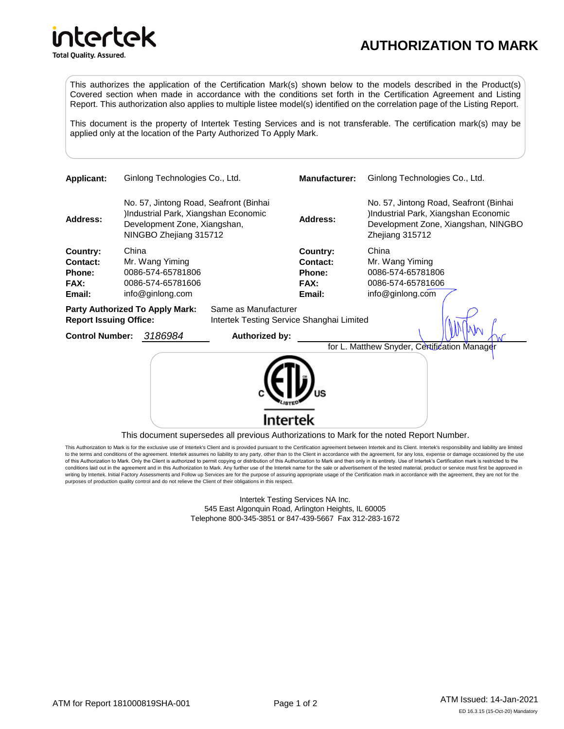## **AUTHORIZATION TO MARK**

intertek

**Total Quality. Assured.** 

This authorizes the application of the Certification Mark(s) shown below to the models described in the Product(s) Covered section when made in accordance with the conditions set forth in the Certification Agreement and Listing Report. This authorization also applies to multiple listee model(s) identified on the correlation page of the Listing Report.

This document is the property of Intertek Testing Services and is not transferable. The certification mark(s) may be applied only at the location of the Party Authorized To Apply Mark.

| <b>Applicant:</b>                                                       | Ginlong Technologies Co., Ltd.                                                                                                           |                                                                               |                                           | Manufacturer:                                    | Ginlong Technologies Co., Ltd.                                                                                                          |
|-------------------------------------------------------------------------|------------------------------------------------------------------------------------------------------------------------------------------|-------------------------------------------------------------------------------|-------------------------------------------|--------------------------------------------------|-----------------------------------------------------------------------------------------------------------------------------------------|
| Address:                                                                | No. 57, Jintong Road, Seafront (Binhai<br>)Industrial Park, Xiangshan Economic<br>Development Zone, Xiangshan,<br>NINGBO Zhejiang 315712 |                                                                               |                                           | <b>Address:</b>                                  | No. 57, Jintong Road, Seafront (Binhai<br>Industrial Park, Xiangshan Economic<br>Development Zone, Xiangshan, NINGBO<br>Zhejiang 315712 |
| Country:<br>Contact:<br>Phone:<br>FAX:<br>Email:                        | China                                                                                                                                    | Mr. Wang Yiming<br>0086-574-65781806<br>0086-574-65781606<br>info@ginlong.com | Same as Manufacturer                      | Country:<br>Contact:<br>Phone:<br>FAX:<br>Email: | China<br>Mr. Wang Yiming<br>0086-574-65781806<br>0086-574-65781606<br>info@ginlong.com                                                  |
| <b>Party Authorized To Apply Mark:</b><br><b>Report Issuing Office:</b> |                                                                                                                                          |                                                                               | Intertek Testing Service Shanghai Limited |                                                  |                                                                                                                                         |
| <b>Control Number:</b>                                                  |                                                                                                                                          | 3186984                                                                       | Authorized by:                            |                                                  |                                                                                                                                         |
|                                                                         |                                                                                                                                          |                                                                               |                                           |                                                  | for L. Matthew Snyder, Certification Manager                                                                                            |

This document supersedes all previous Authorizations to Mark for the noted Report Number.

This Authorization to Mark is for the exclusive use of Intertek's Client and is provided pursuant to the Certification agreement between Intertek and its Client. Intertek's responsibility and liability are limited to the terms and conditions of the agreement. Intertek assumes no liability to any party, other than to the Client in accordance with the agreement, for any loss, expense or damage occasioned by the use of this Authorization to Mark. Only the Client is authorized to permit copying or distribution of this Authorization to Mark and then only in its entirety. Use of Intertek's Certification mark is restricted to the conditions laid out in the agreement and in this Authorization to Mark. Any further use of the Intertek name for the sale or advertisement of the tested material, product or service must first be approved in<br>writing by Int purposes of production quality control and do not relieve the Client of their obligations in this respect.

> Intertek Testing Services NA Inc. 545 East Algonquin Road, Arlington Heights, IL 60005 Telephone 800-345-3851 or 847-439-5667 Fax 312-283-1672